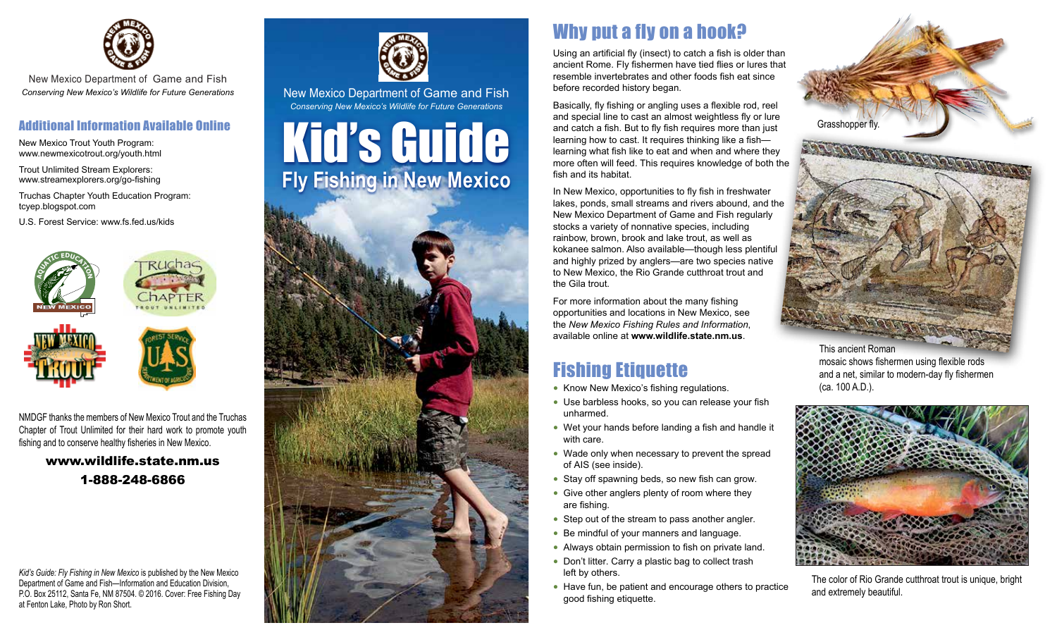

New Mexico Department of Game and Fish *Conserving New Mexico's Wildlife for Future Generations*

#### Additional Information Available Online

New Mexico Trout Youth Program: www.newmexicotrout.org/youth.html

Trout Unlimited Stream Explorers: www.streamexplorers.org/go-fishing

Truchas Chapter Youth Education Program: tcyep.blogspot.com

U.S. Forest Service: www.fs.fed.us/kids





NMDGF thanks the members of New Mexico Trout and the Truchas Chapter of Trout Unlimited for their hard work to promote youth fishing and to conserve healthy fisheries in New Mexico.

> www.wildlife.state.nm.us 1-888-248-6866

*Kid's Guide: Fly Fishing in New Mexico* is published by the New Mexico Department of Game and Fish—Information and Education Division, P.O. Box 25112, Santa Fe, NM 87504. © 2016. Cover: Free Fishing Day at Fenton Lake, Photo by Ron Short.



New Mexico Department of Game and Fish *Conserving New Mexico's Wildlife for Future Generations*

# Kid's Guide **Fly Fishing in New Mexico**



# Why put a fly on a hook?

Using an artificial fly (insect) to catch a fish is older than ancient Rome. Fly fishermen have tied flies or lures that resemble invertebrates and other foods fish eat since before recorded history began.

Basically, fly fishing or angling uses a flexible rod, reel and special line to cast an almost weightless fly or lure and catch a fish. But to fly fish requires more than just learning how to cast. It requires thinking like a fish learning what fish like to eat and when and where they more often will feed. This requires knowledge of both the fish and its habitat.

In New Mexico, opportunities to fly fish in freshwater lakes, ponds, small streams and rivers abound, and the New Mexico Department of Game and Fish regularly stocks a variety of nonnative species, including rainbow, brown, brook and lake trout, as well as kokanee salmon. Also available—though less plentiful and highly prized by anglers—are two species native to New Mexico, the Rio Grande cutthroat trout and the Gila trout.

For more information about the many fishing opportunities and locations in New Mexico, see the *New Mexico Fishing Rules and Information*, available online at **www.wildlife.state.nm.us**.

# Fishing Etiquette

- Know New Mexico's fishing regulations.
- Use barbless hooks, so you can release your fish unharmed.
- Wet your hands before landing a fish and handle it with care.
- Wade only when necessary to prevent the spread of AIS (see inside).
- Stay off spawning beds, so new fish can grow.
- Give other anglers plenty of room where they are fishing.
- Step out of the stream to pass another angler.
- Be mindful of your manners and language.
- Always obtain permission to fish on private land.
- Don't litter. Carry a plastic bag to collect trash left by others.
- Have fun, be patient and encourage others to practice good fishing etiquette.



This ancient Roman mosaic shows fishermen using flexible rods and a net, similar to modern-day fly fishermen (ca. 100 A.D.).



The color of Rio Grande cutthroat trout is unique, bright and extremely beautiful.